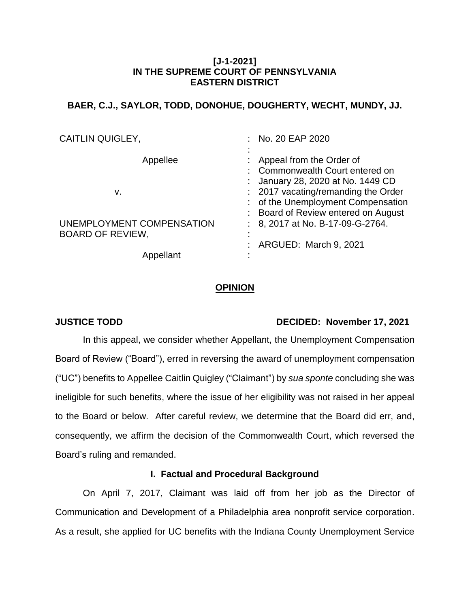## **[J-1-2021] IN THE SUPREME COURT OF PENNSYLVANIA EASTERN DISTRICT**

## **BAER, C.J., SAYLOR, TODD, DONOHUE, DOUGHERTY, WECHT, MUNDY, JJ.**

| <b>CAITLIN QUIGLEY,</b>   | : No. 20 EAP 2020                   |
|---------------------------|-------------------------------------|
|                           |                                     |
| Appellee                  | Appeal from the Order of            |
|                           | : Commonwealth Court entered on     |
|                           | : January 28, 2020 at No. 1449 CD   |
| v.                        | : 2017 vacating/remanding the Order |
|                           | : of the Unemployment Compensation  |
|                           | : Board of Review entered on August |
| UNEMPLOYMENT COMPENSATION | : 8, 2017 at No. B-17-09-G-2764.    |
| <b>BOARD OF REVIEW,</b>   |                                     |
|                           | ARGUED: March 9, 2021               |
| Appellant                 |                                     |

## **OPINION**

## **JUSTICE TODD DECIDED: November 17, 2021**

In this appeal, we consider whether Appellant, the Unemployment Compensation Board of Review ("Board"), erred in reversing the award of unemployment compensation ("UC") benefits to Appellee Caitlin Quigley ("Claimant") by *sua sponte* concluding she was ineligible for such benefits, where the issue of her eligibility was not raised in her appeal to the Board or below. After careful review, we determine that the Board did err, and, consequently, we affirm the decision of the Commonwealth Court, which reversed the Board's ruling and remanded.

## **I. Factual and Procedural Background**

On April 7, 2017, Claimant was laid off from her job as the Director of Communication and Development of a Philadelphia area nonprofit service corporation. As a result, she applied for UC benefits with the Indiana County Unemployment Service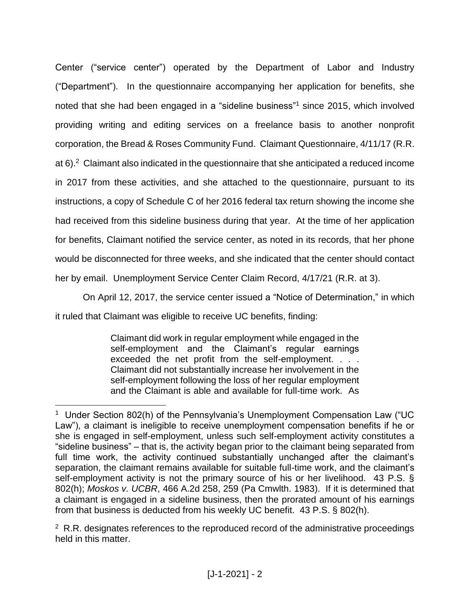Center ("service center") operated by the Department of Labor and Industry ("Department"). In the questionnaire accompanying her application for benefits, she noted that she had been engaged in a "sideline business"<sup>1</sup> since 2015, which involved providing writing and editing services on a freelance basis to another nonprofit corporation, the Bread & Roses Community Fund. Claimant Questionnaire, 4/11/17 (R.R. at 6). $2$  Claimant also indicated in the questionnaire that she anticipated a reduced income in 2017 from these activities, and she attached to the questionnaire, pursuant to its instructions, a copy of Schedule C of her 2016 federal tax return showing the income she had received from this sideline business during that year. At the time of her application for benefits, Claimant notified the service center, as noted in its records, that her phone would be disconnected for three weeks, and she indicated that the center should contact her by email. Unemployment Service Center Claim Record, 4/17/21 (R.R. at 3).

On April 12, 2017, the service center issued a "Notice of Determination," in which it ruled that Claimant was eligible to receive UC benefits, finding:

> Claimant did work in regular employment while engaged in the self-employment and the Claimant's regular earnings exceeded the net profit from the self-employment. . . . Claimant did not substantially increase her involvement in the self-employment following the loss of her regular employment and the Claimant is able and available for full-time work. As

 $\overline{a}$ 

<sup>&</sup>lt;sup>1</sup> Under Section 802(h) of the Pennsylvania's Unemployment Compensation Law ("UC Law"), a claimant is ineligible to receive unemployment compensation benefits if he or she is engaged in self-employment, unless such self-employment activity constitutes a "sideline business" – that is, the activity began prior to the claimant being separated from full time work, the activity continued substantially unchanged after the claimant's separation, the claimant remains available for suitable full-time work, and the claimant's self-employment activity is not the primary source of his or her livelihood. 43 P.S. § 802(h); *Moskos v. UCBR*, 466 A.2d 258, 259 (Pa Cmwlth. 1983). If it is determined that a claimant is engaged in a sideline business, then the prorated amount of his earnings from that business is deducted from his weekly UC benefit. 43 P.S. § 802(h).

 $2$  R.R. designates references to the reproduced record of the administrative proceedings held in this matter.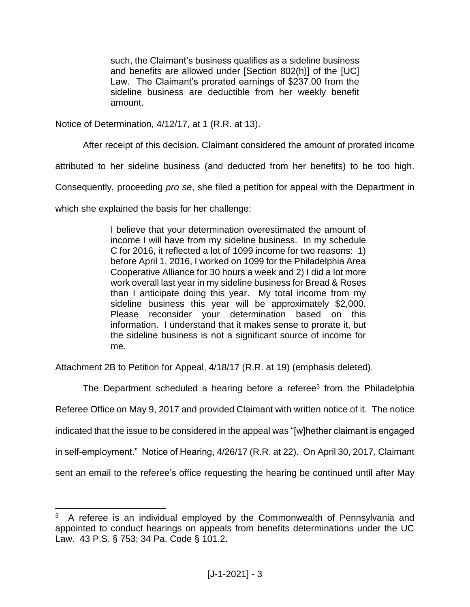such, the Claimant's business qualifies as a sideline business and benefits are allowed under [Section 802(h)] of the [UC] Law. The Claimant's prorated earnings of \$237.00 from the sideline business are deductible from her weekly benefit amount.

Notice of Determination, 4/12/17, at 1 (R.R. at 13).

After receipt of this decision, Claimant considered the amount of prorated income

attributed to her sideline business (and deducted from her benefits) to be too high.

Consequently, proceeding *pro se*, she filed a petition for appeal with the Department in

which she explained the basis for her challenge:

 $\overline{a}$ 

I believe that your determination overestimated the amount of income I will have from my sideline business. In my schedule C for 2016, it reflected a lot of 1099 income for two reasons: 1) before April 1, 2016, I worked on 1099 for the Philadelphia Area Cooperative Alliance for 30 hours a week and 2) I did a lot more work overall last year in my sideline business for Bread & Roses than I anticipate doing this year. My total income from my sideline business this year will be approximately \$2,000. Please reconsider your determination based on this information. I understand that it makes sense to prorate it, but the sideline business is not a significant source of income for me.

Attachment 2B to Petition for Appeal, 4/18/17 (R.R. at 19) (emphasis deleted).

The Department scheduled a hearing before a referee<sup>3</sup> from the Philadelphia Referee Office on May 9, 2017 and provided Claimant with written notice of it. The notice indicated that the issue to be considered in the appeal was "[w]hether claimant is engaged in self-employment." Notice of Hearing, 4/26/17 (R.R. at 22). On April 30, 2017, Claimant sent an email to the referee's office requesting the hearing be continued until after May

 $3$  A referee is an individual employed by the Commonwealth of Pennsylvania and appointed to conduct hearings on appeals from benefits determinations under the UC Law. 43 P.S. § 753; 34 Pa. Code § 101.2.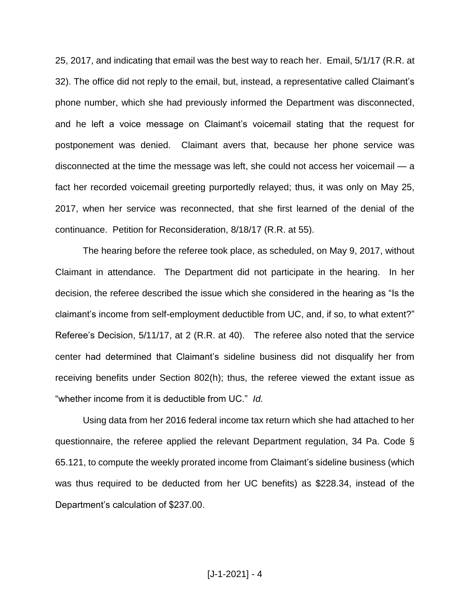25, 2017, and indicating that email was the best way to reach her. Email, 5/1/17 (R.R. at 32). The office did not reply to the email, but, instead, a representative called Claimant's phone number, which she had previously informed the Department was disconnected, and he left a voice message on Claimant's voicemail stating that the request for postponement was denied. Claimant avers that, because her phone service was disconnected at the time the message was left, she could not access her voicemail — a fact her recorded voicemail greeting purportedly relayed; thus, it was only on May 25, 2017, when her service was reconnected, that she first learned of the denial of the continuance. Petition for Reconsideration, 8/18/17 (R.R. at 55).

The hearing before the referee took place, as scheduled, on May 9, 2017, without Claimant in attendance. The Department did not participate in the hearing. In her decision, the referee described the issue which she considered in the hearing as "Is the claimant's income from self-employment deductible from UC, and, if so, to what extent?" Referee's Decision, 5/11/17, at 2 (R.R. at 40). The referee also noted that the service center had determined that Claimant's sideline business did not disqualify her from receiving benefits under Section 802(h); thus, the referee viewed the extant issue as "whether income from it is deductible from UC." *Id.*

Using data from her 2016 federal income tax return which she had attached to her questionnaire, the referee applied the relevant Department regulation, 34 Pa. Code § 65.121, to compute the weekly prorated income from Claimant's sideline business (which was thus required to be deducted from her UC benefits) as \$228.34, instead of the Department's calculation of \$237.00.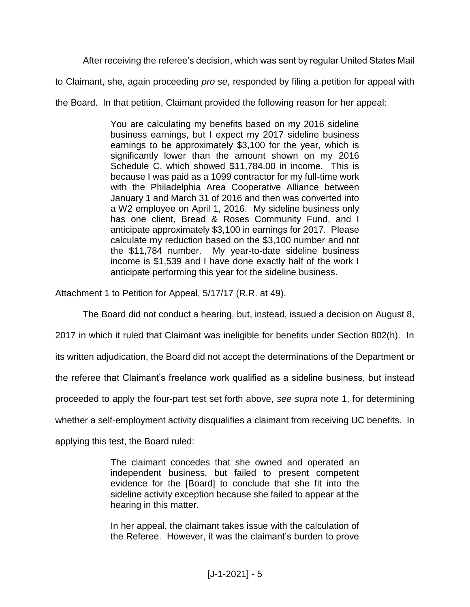After receiving the referee's decision, which was sent by regular United States Mail

to Claimant, she, again proceeding *pro se*, responded by filing a petition for appeal with

the Board. In that petition, Claimant provided the following reason for her appeal:

You are calculating my benefits based on my 2016 sideline business earnings, but I expect my 2017 sideline business earnings to be approximately \$3,100 for the year, which is significantly lower than the amount shown on my 2016 Schedule C, which showed \$11,784.00 in income. This is because I was paid as a 1099 contractor for my full-time work with the Philadelphia Area Cooperative Alliance between January 1 and March 31 of 2016 and then was converted into a W2 employee on April 1, 2016. My sideline business only has one client, Bread & Roses Community Fund, and I anticipate approximately \$3,100 in earnings for 2017. Please calculate my reduction based on the \$3,100 number and not the \$11,784 number. My year-to-date sideline business income is \$1,539 and I have done exactly half of the work I anticipate performing this year for the sideline business.

Attachment 1 to Petition for Appeal, 5/17/17 (R.R. at 49).

The Board did not conduct a hearing, but, instead, issued a decision on August 8,

2017 in which it ruled that Claimant was ineligible for benefits under Section 802(h). In

its written adjudication, the Board did not accept the determinations of the Department or

the referee that Claimant's freelance work qualified as a sideline business, but instead

proceeded to apply the four-part test set forth above, *see supra* note 1, for determining

whether a self-employment activity disqualifies a claimant from receiving UC benefits. In

applying this test, the Board ruled:

The claimant concedes that she owned and operated an independent business, but failed to present competent evidence for the [Board] to conclude that she fit into the sideline activity exception because she failed to appear at the hearing in this matter.

In her appeal, the claimant takes issue with the calculation of the Referee. However, it was the claimant's burden to prove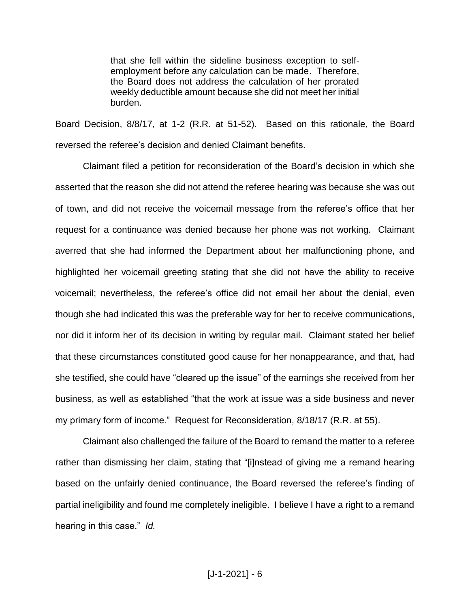that she fell within the sideline business exception to selfemployment before any calculation can be made. Therefore, the Board does not address the calculation of her prorated weekly deductible amount because she did not meet her initial burden.

Board Decision, 8/8/17, at 1-2 (R.R. at 51-52). Based on this rationale, the Board reversed the referee's decision and denied Claimant benefits.

Claimant filed a petition for reconsideration of the Board's decision in which she asserted that the reason she did not attend the referee hearing was because she was out of town, and did not receive the voicemail message from the referee's office that her request for a continuance was denied because her phone was not working. Claimant averred that she had informed the Department about her malfunctioning phone, and highlighted her voicemail greeting stating that she did not have the ability to receive voicemail; nevertheless, the referee's office did not email her about the denial, even though she had indicated this was the preferable way for her to receive communications, nor did it inform her of its decision in writing by regular mail. Claimant stated her belief that these circumstances constituted good cause for her nonappearance, and that, had she testified, she could have "cleared up the issue" of the earnings she received from her business, as well as established "that the work at issue was a side business and never my primary form of income." Request for Reconsideration, 8/18/17 (R.R. at 55).

Claimant also challenged the failure of the Board to remand the matter to a referee rather than dismissing her claim, stating that "[i]nstead of giving me a remand hearing based on the unfairly denied continuance, the Board reversed the referee's finding of partial ineligibility and found me completely ineligible. I believe I have a right to a remand hearing in this case." *Id.*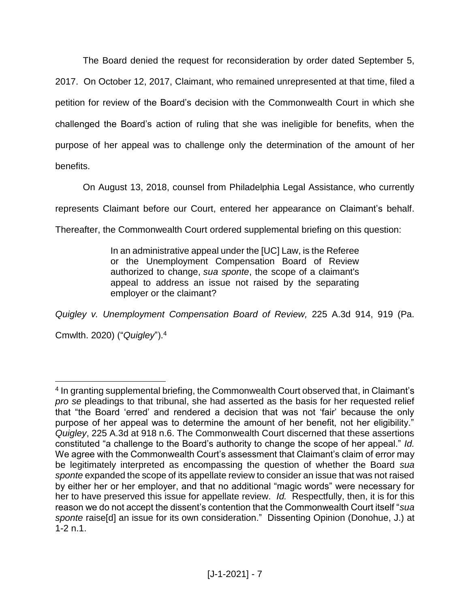The Board denied the request for reconsideration by order dated September 5, 2017. On October 12, 2017, Claimant, who remained unrepresented at that time, filed a petition for review of the Board's decision with the Commonwealth Court in which she challenged the Board's action of ruling that she was ineligible for benefits, when the purpose of her appeal was to challenge only the determination of the amount of her benefits.

On August 13, 2018, counsel from Philadelphia Legal Assistance, who currently

represents Claimant before our Court, entered her appearance on Claimant's behalf.

Thereafter, the Commonwealth Court ordered supplemental briefing on this question:

In an administrative appeal under the [UC] Law, is the Referee or the Unemployment Compensation Board of Review authorized to change, *sua sponte*, the scope of a claimant's appeal to address an issue not raised by the separating employer or the claimant?

*Quigley v. Unemployment Compensation Board of Review,* 225 A.3d 914, 919 (Pa. Cmwlth. 2020) ("*Quigley*"). 4

 $\overline{a}$ <sup>4</sup> In granting supplemental briefing, the Commonwealth Court observed that, in Claimant's *pro se* pleadings to that tribunal, she had asserted as the basis for her requested relief that "the Board 'erred' and rendered a decision that was not 'fair' because the only purpose of her appeal was to determine the amount of her benefit, not her eligibility." *Quigley*, 225 A.3d at 918 n.6. The Commonwealth Court discerned that these assertions constituted "a challenge to the Board's authority to change the scope of her appeal." *Id.* We agree with the Commonwealth Court's assessment that Claimant's claim of error may be legitimately interpreted as encompassing the question of whether the Board *sua sponte* expanded the scope of its appellate review to consider an issue that was not raised by either her or her employer, and that no additional "magic words" were necessary for her to have preserved this issue for appellate review. *Id.* Respectfully, then, it is for this reason we do not accept the dissent's contention that the Commonwealth Court itself "*sua sponte* raise[d] an issue for its own consideration." Dissenting Opinion (Donohue, J.) at 1-2 n.1.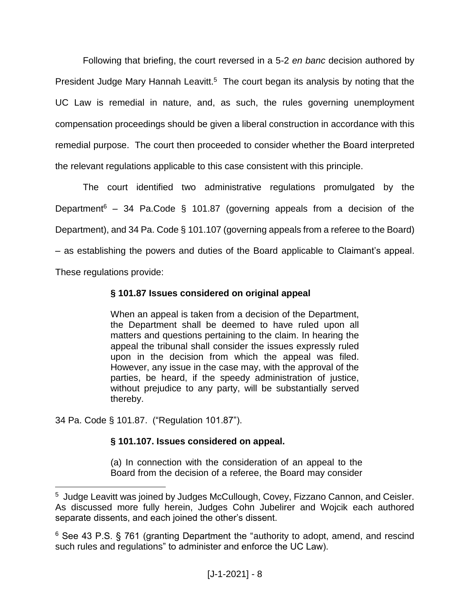Following that briefing, the court reversed in a 5-2 *en banc* decision authored by President Judge Mary Hannah Leavitt.<sup>5</sup> The court began its analysis by noting that the UC Law is remedial in nature, and, as such, the rules governing unemployment compensation proceedings should be given a liberal construction in accordance with this remedial purpose. The court then proceeded to consider whether the Board interpreted the relevant regulations applicable to this case consistent with this principle.

The court identified two administrative regulations promulgated by the Department<sup>6</sup> – 34 Pa.Code § 101.87 (governing appeals from a decision of the Department), and 34 Pa. Code § 101.107 (governing appeals from a referee to the Board) – as establishing the powers and duties of the Board applicable to Claimant's appeal. These regulations provide:

# **§ 101.87 Issues considered on original appeal**

When an appeal is taken from a decision of the Department, the Department shall be deemed to have ruled upon all matters and questions pertaining to the claim. In hearing the appeal the tribunal shall consider the issues expressly ruled upon in the decision from which the appeal was filed. However, any issue in the case may, with the approval of the parties, be heard, if the speedy administration of justice, without prejudice to any party, will be substantially served thereby.

34 Pa. Code § 101.87. ("Regulation 101.87").

 $\overline{a}$ 

# **§ 101.107. Issues considered on appeal.**

(a) In connection with the consideration of an appeal to the Board from the decision of a referee, the Board may consider

<sup>&</sup>lt;sup>5</sup> Judge Leavitt was joined by Judges McCullough, Covey, Fizzano Cannon, and Ceisler. As discussed more fully herein, Judges Cohn Jubelirer and Wojcik each authored separate dissents, and each joined the other's dissent.

<sup>6</sup> See 43 P.S. § 761 (granting Department the "authority to adopt, amend, and rescind such rules and regulations" to administer and enforce the UC Law).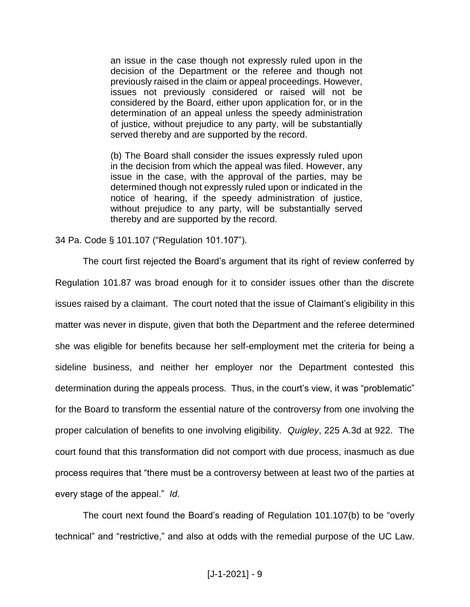an issue in the case though not expressly ruled upon in the decision of the Department or the referee and though not previously raised in the claim or appeal proceedings. However, issues not previously considered or raised will not be considered by the Board, either upon application for, or in the determination of an appeal unless the speedy administration of justice, without prejudice to any party, will be substantially served thereby and are supported by the record.

(b) The Board shall consider the issues expressly ruled upon in the decision from which the appeal was filed. However, any issue in the case, with the approval of the parties, may be determined though not expressly ruled upon or indicated in the notice of hearing, if the speedy administration of justice, without prejudice to any party, will be substantially served thereby and are supported by the record.

34 Pa. Code § 101.107 ("Regulation 101.107").

The court first rejected the Board's argument that its right of review conferred by Regulation 101.87 was broad enough for it to consider issues other than the discrete issues raised by a claimant. The court noted that the issue of Claimant's eligibility in this matter was never in dispute, given that both the Department and the referee determined she was eligible for benefits because her self-employment met the criteria for being a sideline business, and neither her employer nor the Department contested this determination during the appeals process. Thus, in the court's view, it was "problematic" for the Board to transform the essential nature of the controversy from one involving the proper calculation of benefits to one involving eligibility. *Quigley*, 225 A.3d at 922. The court found that this transformation did not comport with due process, inasmuch as due process requires that "there must be a controversy between at least two of the parties at every stage of the appeal." *Id*.

The court next found the Board's reading of Regulation 101.107(b) to be "overly technical" and "restrictive," and also at odds with the remedial purpose of the UC Law.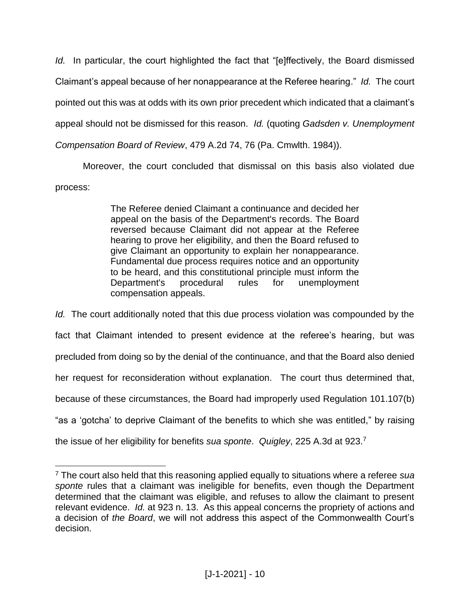*Id.* In particular, the court highlighted the fact that "[e]ffectively, the Board dismissed Claimant's appeal because of her nonappearance at the Referee hearing." *Id.* The court pointed out this was at odds with its own prior precedent which indicated that a claimant's appeal should not be dismissed for this reason. *Id.* (quoting *Gadsden v. Unemployment Compensation Board of Review*, 479 A.2d 74, 76 (Pa. Cmwlth. 1984)).

Moreover, the court concluded that dismissal on this basis also violated due process:

> The Referee denied Claimant a continuance and decided her appeal on the basis of the Department's records. The Board reversed because Claimant did not appear at the Referee hearing to prove her eligibility, and then the Board refused to give Claimant an opportunity to explain her nonappearance. Fundamental due process requires notice and an opportunity to be heard, and this constitutional principle must inform the Department's procedural rules for unemployment compensation appeals.

*Id.* The court additionally noted that this due process violation was compounded by the fact that Claimant intended to present evidence at the referee's hearing, but was precluded from doing so by the denial of the continuance, and that the Board also denied her request for reconsideration without explanation. The court thus determined that, because of these circumstances, the Board had improperly used Regulation 101.107(b) "as a 'gotcha' to deprive Claimant of the benefits to which she was entitled," by raising the issue of her eligibility for benefits *sua sponte*. *Quigley*, 225 A.3d at 923.<sup>7</sup>

 $\overline{a}$ 

<sup>7</sup> The court also held that this reasoning applied equally to situations where a referee *sua sponte* rules that a claimant was ineligible for benefits, even though the Department determined that the claimant was eligible, and refuses to allow the claimant to present relevant evidence. *Id.* at 923 n. 13. As this appeal concerns the propriety of actions and a decision of *the Board*, we will not address this aspect of the Commonwealth Court's decision.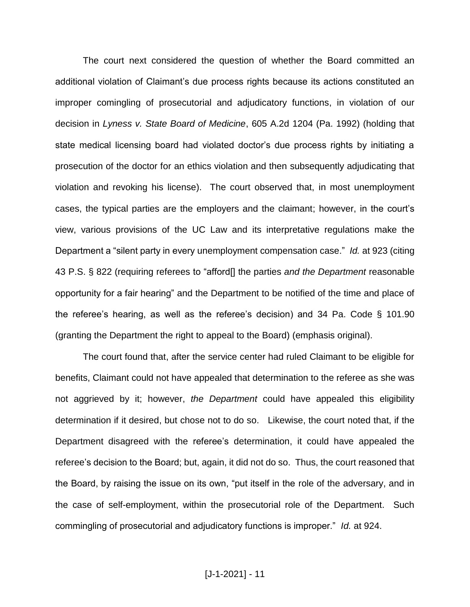The court next considered the question of whether the Board committed an additional violation of Claimant's due process rights because its actions constituted an improper comingling of prosecutorial and adjudicatory functions, in violation of our decision in *Lyness v. State Board of Medicine*, 605 A.2d 1204 (Pa. 1992) (holding that state medical licensing board had violated doctor's due process rights by initiating a prosecution of the doctor for an ethics violation and then subsequently adjudicating that violation and revoking his license). The court observed that, in most unemployment cases, the typical parties are the employers and the claimant; however, in the court's view, various provisions of the UC Law and its interpretative regulations make the Department a "silent party in every unemployment compensation case." *Id.* at 923 (citing 43 P.S. § 822 (requiring referees to "afford[] the parties *and the Department* reasonable opportunity for a fair hearing" and the Department to be notified of the time and place of the referee's hearing, as well as the referee's decision) and 34 Pa. Code § 101.90 (granting the Department the right to appeal to the Board) (emphasis original).

The court found that, after the service center had ruled Claimant to be eligible for benefits, Claimant could not have appealed that determination to the referee as she was not aggrieved by it; however, *the Department* could have appealed this eligibility determination if it desired, but chose not to do so. Likewise, the court noted that, if the Department disagreed with the referee's determination, it could have appealed the referee's decision to the Board; but, again, it did not do so. Thus, the court reasoned that the Board, by raising the issue on its own, "put itself in the role of the adversary, and in the case of self-employment, within the prosecutorial role of the Department. Such commingling of prosecutorial and adjudicatory functions is improper." *Id.* at 924.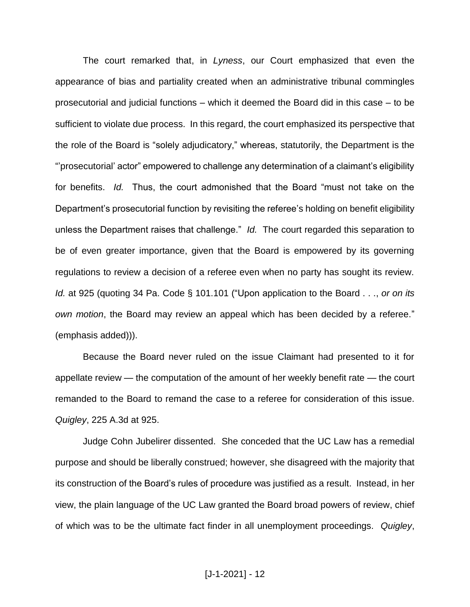The court remarked that, in *Lyness*, our Court emphasized that even the appearance of bias and partiality created when an administrative tribunal commingles prosecutorial and judicial functions – which it deemed the Board did in this case – to be sufficient to violate due process. In this regard, the court emphasized its perspective that the role of the Board is "solely adjudicatory," whereas, statutorily, the Department is the "'prosecutorial' actor" empowered to challenge any determination of a claimant's eligibility for benefits. *Id.* Thus, the court admonished that the Board "must not take on the Department's prosecutorial function by revisiting the referee's holding on benefit eligibility unless the Department raises that challenge." *Id.* The court regarded this separation to be of even greater importance, given that the Board is empowered by its governing regulations to review a decision of a referee even when no party has sought its review. *Id.* at 925 (quoting 34 Pa. Code § 101.101 ("Upon application to the Board . . ., *or on its own motion*, the Board may review an appeal which has been decided by a referee." (emphasis added))).

Because the Board never ruled on the issue Claimant had presented to it for appellate review — the computation of the amount of her weekly benefit rate — the court remanded to the Board to remand the case to a referee for consideration of this issue. *Quigley*, 225 A.3d at 925.

Judge Cohn Jubelirer dissented. She conceded that the UC Law has a remedial purpose and should be liberally construed; however, she disagreed with the majority that its construction of the Board's rules of procedure was justified as a result. Instead, in her view, the plain language of the UC Law granted the Board broad powers of review, chief of which was to be the ultimate fact finder in all unemployment proceedings. *Quigley*,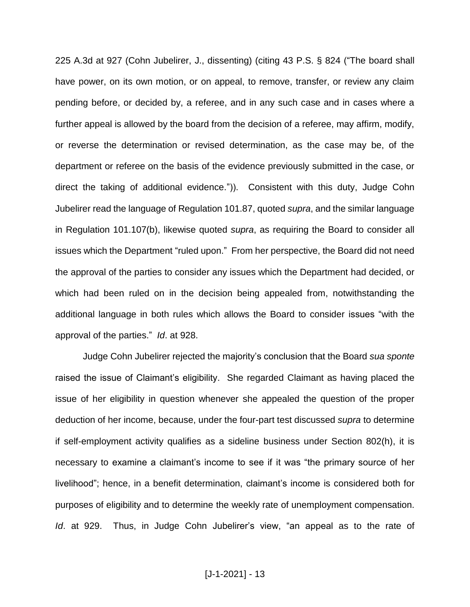225 A.3d at 927 (Cohn Jubelirer, J., dissenting) (citing 43 P.S. § 824 ("The board shall have power, on its own motion, or on appeal, to remove, transfer, or review any claim pending before, or decided by, a referee, and in any such case and in cases where a further appeal is allowed by the board from the decision of a referee, may affirm, modify, or reverse the determination or revised determination, as the case may be, of the department or referee on the basis of the evidence previously submitted in the case, or direct the taking of additional evidence.")). Consistent with this duty, Judge Cohn Jubelirer read the language of Regulation 101.87, quoted *supra*, and the similar language in Regulation 101.107(b), likewise quoted *supra*, as requiring the Board to consider all issues which the Department "ruled upon." From her perspective, the Board did not need the approval of the parties to consider any issues which the Department had decided, or which had been ruled on in the decision being appealed from, notwithstanding the additional language in both rules which allows the Board to consider issues "with the approval of the parties." *Id*. at 928.

Judge Cohn Jubelirer rejected the majority's conclusion that the Board *sua sponte* raised the issue of Claimant's eligibility. She regarded Claimant as having placed the issue of her eligibility in question whenever she appealed the question of the proper deduction of her income, because, under the four-part test discussed *supra* to determine if self-employment activity qualifies as a sideline business under Section 802(h), it is necessary to examine a claimant's income to see if it was "the primary source of her livelihood"; hence, in a benefit determination, claimant's income is considered both for purposes of eligibility and to determine the weekly rate of unemployment compensation. *Id*. at 929. Thus, in Judge Cohn Jubelirer's view, "an appeal as to the rate of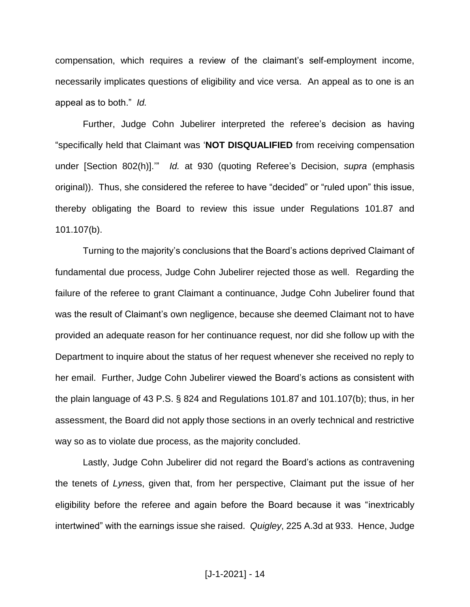compensation, which requires a review of the claimant's self-employment income, necessarily implicates questions of eligibility and vice versa. An appeal as to one is an appeal as to both." *Id.*

Further, Judge Cohn Jubelirer interpreted the referee's decision as having "specifically held that Claimant was '**NOT DISQUALIFIED** from receiving compensation under [Section 802(h)].'" *Id.* at 930 (quoting Referee's Decision, *supra* (emphasis original)). Thus, she considered the referee to have "decided" or "ruled upon" this issue, thereby obligating the Board to review this issue under Regulations 101.87 and 101.107(b).

Turning to the majority's conclusions that the Board's actions deprived Claimant of fundamental due process, Judge Cohn Jubelirer rejected those as well. Regarding the failure of the referee to grant Claimant a continuance, Judge Cohn Jubelirer found that was the result of Claimant's own negligence, because she deemed Claimant not to have provided an adequate reason for her continuance request, nor did she follow up with the Department to inquire about the status of her request whenever she received no reply to her email. Further, Judge Cohn Jubelirer viewed the Board's actions as consistent with the plain language of 43 P.S. § 824 and Regulations 101.87 and 101.107(b); thus, in her assessment, the Board did not apply those sections in an overly technical and restrictive way so as to violate due process, as the majority concluded.

Lastly, Judge Cohn Jubelirer did not regard the Board's actions as contravening the tenets of *Lynes*s, given that, from her perspective, Claimant put the issue of her eligibility before the referee and again before the Board because it was "inextricably intertwined" with the earnings issue she raised. *Quigley*, 225 A.3d at 933. Hence, Judge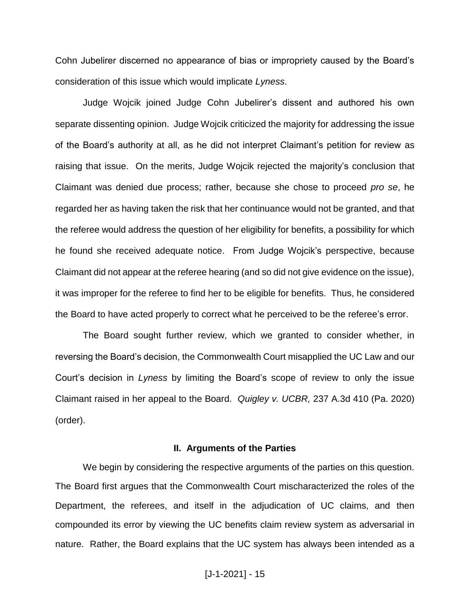Cohn Jubelirer discerned no appearance of bias or impropriety caused by the Board's consideration of this issue which would implicate *Lyness*.

Judge Wojcik joined Judge Cohn Jubelirer's dissent and authored his own separate dissenting opinion. Judge Wojcik criticized the majority for addressing the issue of the Board's authority at all, as he did not interpret Claimant's petition for review as raising that issue. On the merits, Judge Wojcik rejected the majority's conclusion that Claimant was denied due process; rather, because she chose to proceed *pro se*, he regarded her as having taken the risk that her continuance would not be granted, and that the referee would address the question of her eligibility for benefits, a possibility for which he found she received adequate notice. From Judge Wojcik's perspective, because Claimant did not appear at the referee hearing (and so did not give evidence on the issue), it was improper for the referee to find her to be eligible for benefits. Thus, he considered the Board to have acted properly to correct what he perceived to be the referee's error.

The Board sought further review, which we granted to consider whether, in reversing the Board's decision, the Commonwealth Court misapplied the UC Law and our Court's decision in *Lyness* by limiting the Board's scope of review to only the issue Claimant raised in her appeal to the Board. *Quigley v. UCBR,* 237 A.3d 410 (Pa. 2020) (order).

### **II. Arguments of the Parties**

We begin by considering the respective arguments of the parties on this question. The Board first argues that the Commonwealth Court mischaracterized the roles of the Department, the referees, and itself in the adjudication of UC claims, and then compounded its error by viewing the UC benefits claim review system as adversarial in nature. Rather, the Board explains that the UC system has always been intended as a

## [J-1-2021] - 15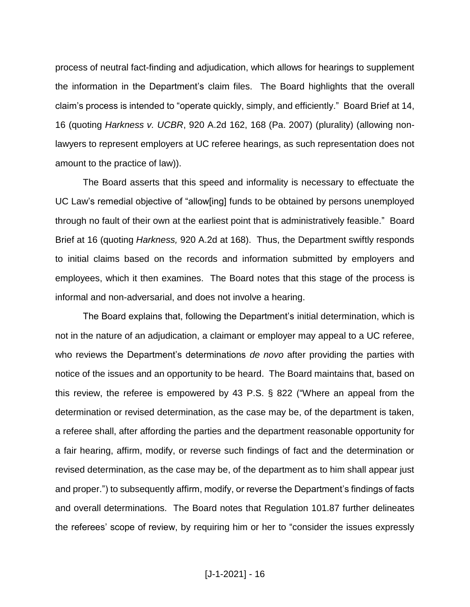process of neutral fact-finding and adjudication, which allows for hearings to supplement the information in the Department's claim files. The Board highlights that the overall claim's process is intended to "operate quickly, simply, and efficiently." Board Brief at 14, 16 (quoting *Harkness v. UCBR*, 920 A.2d 162, 168 (Pa. 2007) (plurality) (allowing nonlawyers to represent employers at UC referee hearings, as such representation does not amount to the practice of law)).

The Board asserts that this speed and informality is necessary to effectuate the UC Law's remedial objective of "allow[ing] funds to be obtained by persons unemployed through no fault of their own at the earliest point that is administratively feasible." Board Brief at 16 (quoting *Harkness,* 920 A.2d at 168). Thus, the Department swiftly responds to initial claims based on the records and information submitted by employers and employees, which it then examines. The Board notes that this stage of the process is informal and non-adversarial, and does not involve a hearing.

The Board explains that, following the Department's initial determination, which is not in the nature of an adjudication, a claimant or employer may appeal to a UC referee, who reviews the Department's determinations *de novo* after providing the parties with notice of the issues and an opportunity to be heard. The Board maintains that, based on this review, the referee is empowered by 43 P.S. § 822 ("Where an appeal from the determination or revised determination, as the case may be, of the department is taken, a referee shall, after affording the parties and the department reasonable opportunity for a fair hearing, affirm, modify, or reverse such findings of fact and the determination or revised determination, as the case may be, of the department as to him shall appear just and proper.") to subsequently affirm, modify, or reverse the Department's findings of facts and overall determinations. The Board notes that Regulation 101.87 further delineates the referees' scope of review, by requiring him or her to "consider the issues expressly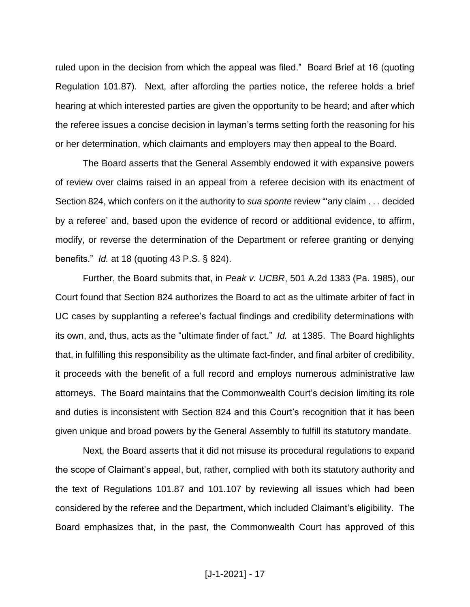ruled upon in the decision from which the appeal was filed." Board Brief at 16 (quoting Regulation 101.87). Next, after affording the parties notice, the referee holds a brief hearing at which interested parties are given the opportunity to be heard; and after which the referee issues a concise decision in layman's terms setting forth the reasoning for his or her determination, which claimants and employers may then appeal to the Board.

The Board asserts that the General Assembly endowed it with expansive powers of review over claims raised in an appeal from a referee decision with its enactment of Section 824, which confers on it the authority to *sua sponte* review "'any claim . . . decided by a referee' and, based upon the evidence of record or additional evidence, to affirm, modify, or reverse the determination of the Department or referee granting or denying benefits." *Id.* at 18 (quoting 43 P.S. § 824).

Further, the Board submits that, in *Peak v. UCBR*, 501 A.2d 1383 (Pa. 1985), our Court found that Section 824 authorizes the Board to act as the ultimate arbiter of fact in UC cases by supplanting a referee's factual findings and credibility determinations with its own, and, thus, acts as the "ultimate finder of fact." *Id.* at 1385. The Board highlights that, in fulfilling this responsibility as the ultimate fact-finder, and final arbiter of credibility, it proceeds with the benefit of a full record and employs numerous administrative law attorneys. The Board maintains that the Commonwealth Court's decision limiting its role and duties is inconsistent with Section 824 and this Court's recognition that it has been given unique and broad powers by the General Assembly to fulfill its statutory mandate.

Next, the Board asserts that it did not misuse its procedural regulations to expand the scope of Claimant's appeal, but, rather, complied with both its statutory authority and the text of Regulations 101.87 and 101.107 by reviewing all issues which had been considered by the referee and the Department, which included Claimant's eligibility. The Board emphasizes that, in the past, the Commonwealth Court has approved of this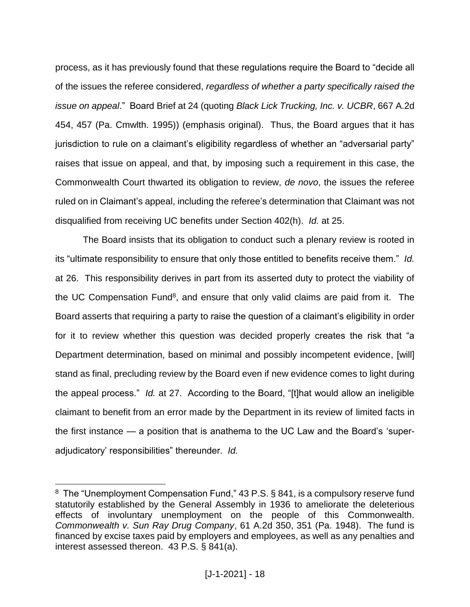process, as it has previously found that these regulations require the Board to "decide all of the issues the referee considered, *regardless of whether a party specifically raised the issue on appeal*." Board Brief at 24 (quoting *Black Lick Trucking, Inc. v. UCBR*, 667 A.2d 454, 457 (Pa. Cmwlth. 1995)) (emphasis original). Thus, the Board argues that it has jurisdiction to rule on a claimant's eligibility regardless of whether an "adversarial party" raises that issue on appeal, and that, by imposing such a requirement in this case, the Commonwealth Court thwarted its obligation to review, *de novo*, the issues the referee ruled on in Claimant's appeal, including the referee's determination that Claimant was not disqualified from receiving UC benefits under Section 402(h). *Id.* at 25.

The Board insists that its obligation to conduct such a plenary review is rooted in its "ultimate responsibility to ensure that only those entitled to benefits receive them." *Id.* at 26. This responsibility derives in part from its asserted duty to protect the viability of the UC Compensation Fund<sup>8</sup>, and ensure that only valid claims are paid from it. The Board asserts that requiring a party to raise the question of a claimant's eligibility in order for it to review whether this question was decided properly creates the risk that "a Department determination, based on minimal and possibly incompetent evidence, [will] stand as final, precluding review by the Board even if new evidence comes to light during the appeal process." *Id.* at 27. According to the Board, "[t]hat would allow an ineligible claimant to benefit from an error made by the Department in its review of limited facts in the first instance — a position that is anathema to the UC Law and the Board's 'superadjudicatory' responsibilities" thereunder. *Id.*

 $\overline{a}$ 

<sup>&</sup>lt;sup>8</sup> The "Unemployment Compensation Fund," 43 P.S. § 841, is a compulsory reserve fund statutorily established by the General Assembly in 1936 to ameliorate the deleterious effects of involuntary unemployment on the people of this Commonwealth. *Commonwealth v. Sun Ray Drug Company*, 61 A.2d 350, 351 (Pa. 1948). The fund is financed by excise taxes paid by employers and employees, as well as any penalties and interest assessed thereon. 43 P.S. § 841(a).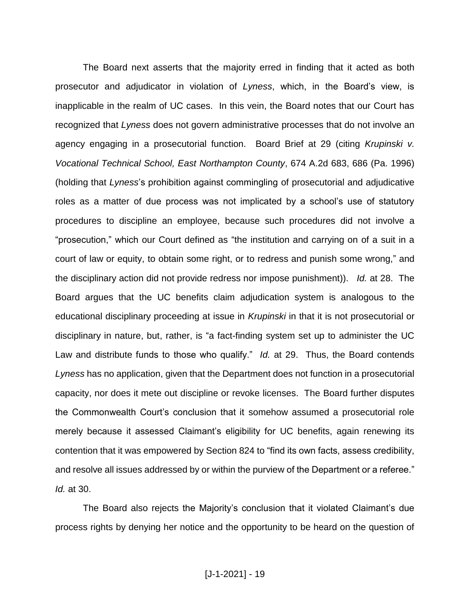The Board next asserts that the majority erred in finding that it acted as both prosecutor and adjudicator in violation of *Lyness*, which, in the Board's view, is inapplicable in the realm of UC cases. In this vein, the Board notes that our Court has recognized that *Lyness* does not govern administrative processes that do not involve an agency engaging in a prosecutorial function. Board Brief at 29 (citing *Krupinski v. Vocational Technical School, East Northampton County*, 674 A.2d 683, 686 (Pa. 1996) (holding that *Lyness*'s prohibition against commingling of prosecutorial and adjudicative roles as a matter of due process was not implicated by a school's use of statutory procedures to discipline an employee, because such procedures did not involve a "prosecution," which our Court defined as "the institution and carrying on of a suit in a court of law or equity, to obtain some right, or to redress and punish some wrong," and the disciplinary action did not provide redress nor impose punishment)). *Id.* at 28. The Board argues that the UC benefits claim adjudication system is analogous to the educational disciplinary proceeding at issue in *Krupinski* in that it is not prosecutorial or disciplinary in nature, but, rather, is "a fact-finding system set up to administer the UC Law and distribute funds to those who qualify." *Id.* at 29. Thus, the Board contends *Lyness* has no application, given that the Department does not function in a prosecutorial capacity, nor does it mete out discipline or revoke licenses. The Board further disputes the Commonwealth Court's conclusion that it somehow assumed a prosecutorial role merely because it assessed Claimant's eligibility for UC benefits, again renewing its contention that it was empowered by Section 824 to "find its own facts, assess credibility, and resolve all issues addressed by or within the purview of the Department or a referee." *Id.* at 30.

The Board also rejects the Majority's conclusion that it violated Claimant's due process rights by denying her notice and the opportunity to be heard on the question of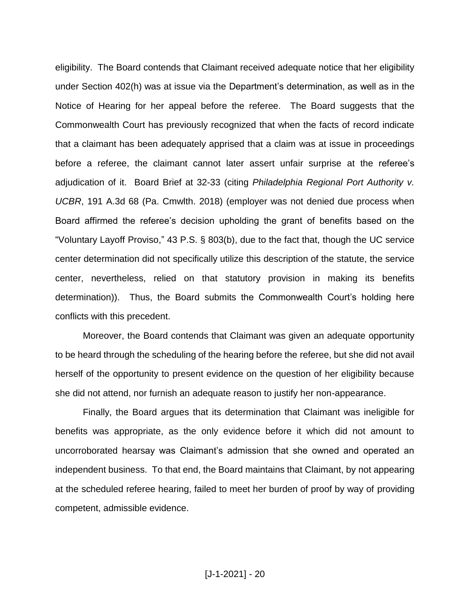eligibility. The Board contends that Claimant received adequate notice that her eligibility under Section 402(h) was at issue via the Department's determination, as well as in the Notice of Hearing for her appeal before the referee. The Board suggests that the Commonwealth Court has previously recognized that when the facts of record indicate that a claimant has been adequately apprised that a claim was at issue in proceedings before a referee, the claimant cannot later assert unfair surprise at the referee's adjudication of it. Board Brief at 32-33 (citing *Philadelphia Regional Port Authority v. UCBR*, 191 A.3d 68 (Pa. Cmwlth. 2018) (employer was not denied due process when Board affirmed the referee's decision upholding the grant of benefits based on the "Voluntary Layoff Proviso," 43 P.S. § 803(b), due to the fact that, though the UC service center determination did not specifically utilize this description of the statute, the service center, nevertheless, relied on that statutory provision in making its benefits determination)). Thus, the Board submits the Commonwealth Court's holding here conflicts with this precedent.

Moreover, the Board contends that Claimant was given an adequate opportunity to be heard through the scheduling of the hearing before the referee, but she did not avail herself of the opportunity to present evidence on the question of her eligibility because she did not attend, nor furnish an adequate reason to justify her non-appearance.

Finally, the Board argues that its determination that Claimant was ineligible for benefits was appropriate, as the only evidence before it which did not amount to uncorroborated hearsay was Claimant's admission that she owned and operated an independent business. To that end, the Board maintains that Claimant, by not appearing at the scheduled referee hearing, failed to meet her burden of proof by way of providing competent, admissible evidence.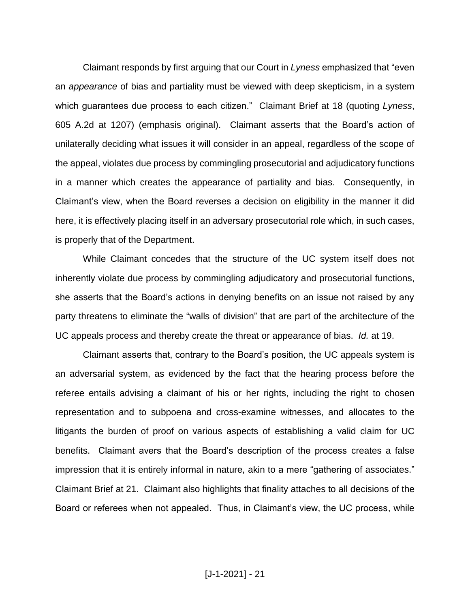Claimant responds by first arguing that our Court in *Lyness* emphasized that "even an *appearance* of bias and partiality must be viewed with deep skepticism, in a system which guarantees due process to each citizen." Claimant Brief at 18 (quoting *Lyness*, 605 A.2d at 1207) (emphasis original). Claimant asserts that the Board's action of unilaterally deciding what issues it will consider in an appeal, regardless of the scope of the appeal, violates due process by commingling prosecutorial and adjudicatory functions in a manner which creates the appearance of partiality and bias. Consequently, in Claimant's view, when the Board reverses a decision on eligibility in the manner it did here, it is effectively placing itself in an adversary prosecutorial role which, in such cases, is properly that of the Department.

While Claimant concedes that the structure of the UC system itself does not inherently violate due process by commingling adjudicatory and prosecutorial functions, she asserts that the Board's actions in denying benefits on an issue not raised by any party threatens to eliminate the "walls of division" that are part of the architecture of the UC appeals process and thereby create the threat or appearance of bias. *Id.* at 19.

Claimant asserts that, contrary to the Board's position, the UC appeals system is an adversarial system, as evidenced by the fact that the hearing process before the referee entails advising a claimant of his or her rights, including the right to chosen representation and to subpoena and cross-examine witnesses, and allocates to the litigants the burden of proof on various aspects of establishing a valid claim for UC benefits. Claimant avers that the Board's description of the process creates a false impression that it is entirely informal in nature, akin to a mere "gathering of associates." Claimant Brief at 21. Claimant also highlights that finality attaches to all decisions of the Board or referees when not appealed. Thus, in Claimant's view, the UC process, while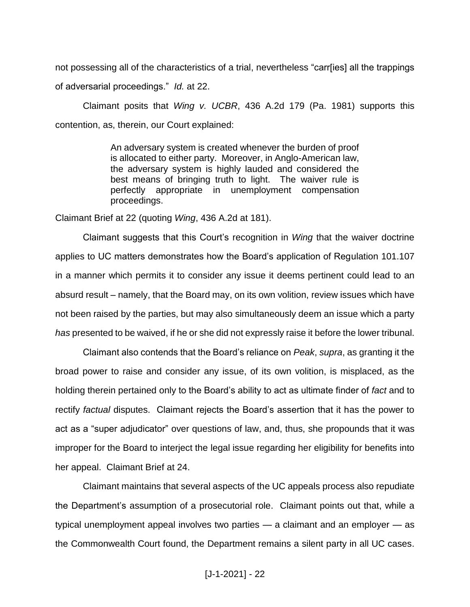not possessing all of the characteristics of a trial, nevertheless "carr[ies] all the trappings of adversarial proceedings." *Id.* at 22.

Claimant posits that *Wing v. UCBR*, 436 A.2d 179 (Pa. 1981) supports this contention, as, therein, our Court explained:

> An adversary system is created whenever the burden of proof is allocated to either party. Moreover, in Anglo-American law, the adversary system is highly lauded and considered the best means of bringing truth to light. The waiver rule is perfectly appropriate in unemployment compensation proceedings.

Claimant Brief at 22 (quoting *Wing*, 436 A.2d at 181).

Claimant suggests that this Court's recognition in *Wing* that the waiver doctrine applies to UC matters demonstrates how the Board's application of Regulation 101.107 in a manner which permits it to consider any issue it deems pertinent could lead to an absurd result – namely, that the Board may, on its own volition, review issues which have not been raised by the parties, but may also simultaneously deem an issue which a party *has* presented to be waived, if he or she did not expressly raise it before the lower tribunal.

Claimant also contends that the Board's reliance on *Peak*, *supra*, as granting it the broad power to raise and consider any issue, of its own volition, is misplaced, as the holding therein pertained only to the Board's ability to act as ultimate finder of *fact* and to rectify *factual* disputes. Claimant rejects the Board's assertion that it has the power to act as a "super adjudicator" over questions of law, and, thus, she propounds that it was improper for the Board to interject the legal issue regarding her eligibility for benefits into her appeal. Claimant Brief at 24.

Claimant maintains that several aspects of the UC appeals process also repudiate the Department's assumption of a prosecutorial role. Claimant points out that, while a typical unemployment appeal involves two parties — a claimant and an employer — as the Commonwealth Court found, the Department remains a silent party in all UC cases.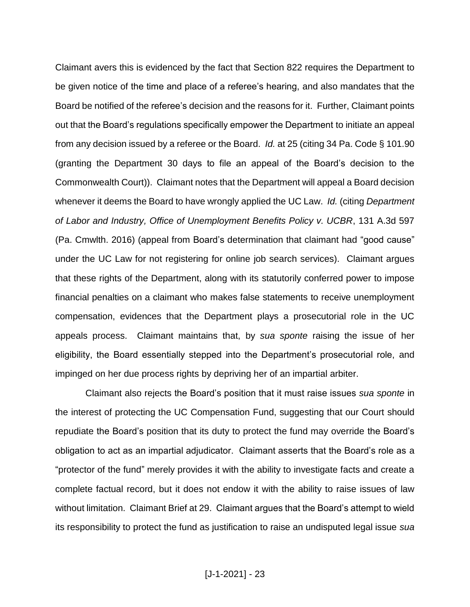Claimant avers this is evidenced by the fact that Section 822 requires the Department to be given notice of the time and place of a referee's hearing, and also mandates that the Board be notified of the referee's decision and the reasons for it. Further, Claimant points out that the Board's regulations specifically empower the Department to initiate an appeal from any decision issued by a referee or the Board. *Id.* at 25 (citing 34 Pa. Code § 101.90 (granting the Department 30 days to file an appeal of the Board's decision to the Commonwealth Court)). Claimant notes that the Department will appeal a Board decision whenever it deems the Board to have wrongly applied the UC Law. *Id.* (citing *Department of Labor and Industry, Office of Unemployment Benefits Policy v. UCBR*, 131 A.3d 597 (Pa. Cmwlth. 2016) (appeal from Board's determination that claimant had "good cause" under the UC Law for not registering for online job search services). Claimant argues that these rights of the Department, along with its statutorily conferred power to impose financial penalties on a claimant who makes false statements to receive unemployment compensation, evidences that the Department plays a prosecutorial role in the UC appeals process. Claimant maintains that, by *sua sponte* raising the issue of her eligibility, the Board essentially stepped into the Department's prosecutorial role, and impinged on her due process rights by depriving her of an impartial arbiter.

Claimant also rejects the Board's position that it must raise issues *sua sponte* in the interest of protecting the UC Compensation Fund, suggesting that our Court should repudiate the Board's position that its duty to protect the fund may override the Board's obligation to act as an impartial adjudicator. Claimant asserts that the Board's role as a "protector of the fund" merely provides it with the ability to investigate facts and create a complete factual record, but it does not endow it with the ability to raise issues of law without limitation. Claimant Brief at 29. Claimant argues that the Board's attempt to wield its responsibility to protect the fund as justification to raise an undisputed legal issue *sua*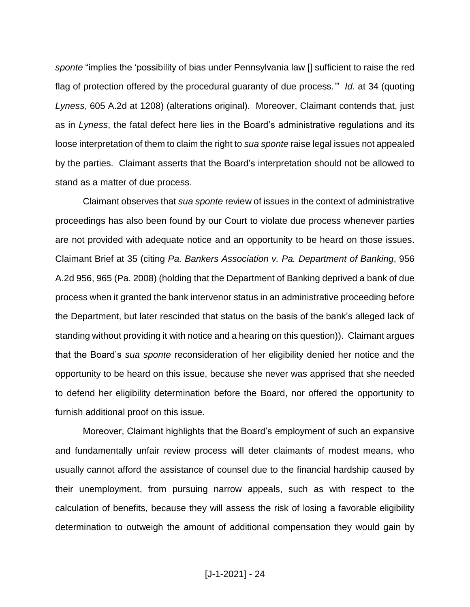*sponte* "implies the 'possibility of bias under Pennsylvania law [] sufficient to raise the red flag of protection offered by the procedural guaranty of due process.'" *Id.* at 34 (quoting *Lyness*, 605 A.2d at 1208) (alterations original). Moreover, Claimant contends that, just as in *Lyness*, the fatal defect here lies in the Board's administrative regulations and its loose interpretation of them to claim the right to *sua sponte* raise legal issues not appealed by the parties. Claimant asserts that the Board's interpretation should not be allowed to stand as a matter of due process.

Claimant observes that *sua sponte* review of issues in the context of administrative proceedings has also been found by our Court to violate due process whenever parties are not provided with adequate notice and an opportunity to be heard on those issues. Claimant Brief at 35 (citing *Pa. Bankers Association v. Pa. Department of Banking*, 956 A.2d 956, 965 (Pa. 2008) (holding that the Department of Banking deprived a bank of due process when it granted the bank intervenor status in an administrative proceeding before the Department, but later rescinded that status on the basis of the bank's alleged lack of standing without providing it with notice and a hearing on this question)). Claimant argues that the Board's *sua sponte* reconsideration of her eligibility denied her notice and the opportunity to be heard on this issue, because she never was apprised that she needed to defend her eligibility determination before the Board, nor offered the opportunity to furnish additional proof on this issue.

Moreover, Claimant highlights that the Board's employment of such an expansive and fundamentally unfair review process will deter claimants of modest means, who usually cannot afford the assistance of counsel due to the financial hardship caused by their unemployment, from pursuing narrow appeals, such as with respect to the calculation of benefits, because they will assess the risk of losing a favorable eligibility determination to outweigh the amount of additional compensation they would gain by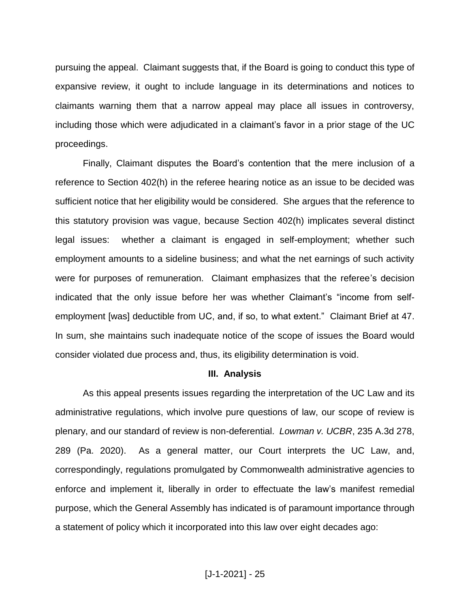pursuing the appeal. Claimant suggests that, if the Board is going to conduct this type of expansive review, it ought to include language in its determinations and notices to claimants warning them that a narrow appeal may place all issues in controversy, including those which were adjudicated in a claimant's favor in a prior stage of the UC proceedings.

Finally, Claimant disputes the Board's contention that the mere inclusion of a reference to Section 402(h) in the referee hearing notice as an issue to be decided was sufficient notice that her eligibility would be considered. She argues that the reference to this statutory provision was vague, because Section 402(h) implicates several distinct legal issues: whether a claimant is engaged in self-employment; whether such employment amounts to a sideline business; and what the net earnings of such activity were for purposes of remuneration. Claimant emphasizes that the referee's decision indicated that the only issue before her was whether Claimant's "income from selfemployment [was] deductible from UC, and, if so, to what extent." Claimant Brief at 47. In sum, she maintains such inadequate notice of the scope of issues the Board would consider violated due process and, thus, its eligibility determination is void.

#### **III. Analysis**

As this appeal presents issues regarding the interpretation of the UC Law and its administrative regulations, which involve pure questions of law, our scope of review is plenary, and our standard of review is non-deferential. *Lowman v. UCBR*, 235 A.3d 278, 289 (Pa. 2020). As a general matter, our Court interprets the UC Law, and, correspondingly, regulations promulgated by Commonwealth administrative agencies to enforce and implement it, liberally in order to effectuate the law's manifest remedial purpose, which the General Assembly has indicated is of paramount importance through a statement of policy which it incorporated into this law over eight decades ago: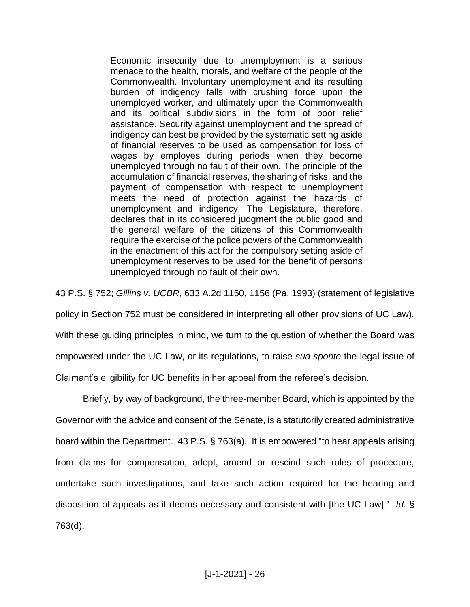Economic insecurity due to unemployment is a serious menace to the health, morals, and welfare of the people of the Commonwealth. Involuntary unemployment and its resulting burden of indigency falls with crushing force upon the unemployed worker, and ultimately upon the Commonwealth and its political subdivisions in the form of poor relief assistance. Security against unemployment and the spread of indigency can best be provided by the systematic setting aside of financial reserves to be used as compensation for loss of wages by employes during periods when they become unemployed through no fault of their own. The principle of the accumulation of financial reserves, the sharing of risks, and the payment of compensation with respect to unemployment meets the need of protection against the hazards of unemployment and indigency. The Legislature, therefore, declares that in its considered judgment the public good and the general welfare of the citizens of this Commonwealth require the exercise of the police powers of the Commonwealth in the enactment of this act for the compulsory setting aside of unemployment reserves to be used for the benefit of persons unemployed through no fault of their own.

43 P.S. § 752; *Gillins v. UCBR*, 633 A.2d 1150, 1156 (Pa. 1993) (statement of legislative

policy in Section 752 must be considered in interpreting all other provisions of UC Law).

With these guiding principles in mind, we turn to the question of whether the Board was

empowered under the UC Law, or its regulations, to raise *sua sponte* the legal issue of

Claimant's eligibility for UC benefits in her appeal from the referee's decision.

Briefly, by way of background, the three-member Board, which is appointed by the Governor with the advice and consent of the Senate, is a statutorily created administrative board within the Department. 43 P.S. § 763(a). It is empowered "to hear appeals arising from claims for compensation, adopt, amend or rescind such rules of procedure, undertake such investigations, and take such action required for the hearing and disposition of appeals as it deems necessary and consistent with [the UC Law]." *Id.* § 763(d).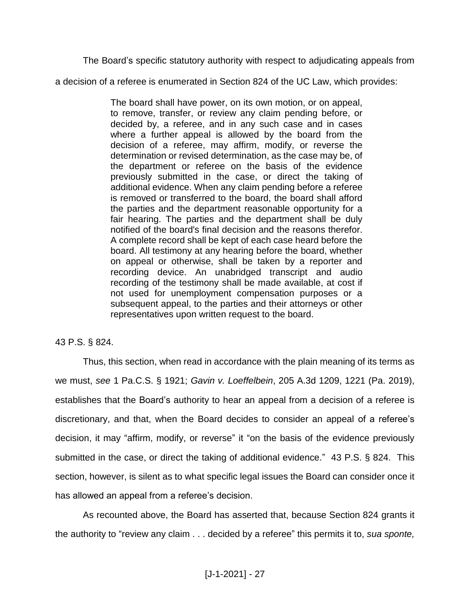The Board's specific statutory authority with respect to adjudicating appeals from

a decision of a referee is enumerated in Section 824 of the UC Law, which provides:

The board shall have power, on its own motion, or on appeal, to remove, transfer, or review any claim pending before, or decided by, a referee, and in any such case and in cases where a further appeal is allowed by the board from the decision of a referee, may affirm, modify, or reverse the determination or revised determination, as the case may be, of the department or referee on the basis of the evidence previously submitted in the case, or direct the taking of additional evidence. When any claim pending before a referee is removed or transferred to the board, the board shall afford the parties and the department reasonable opportunity for a fair hearing. The parties and the department shall be duly notified of the board's final decision and the reasons therefor. A complete record shall be kept of each case heard before the board. All testimony at any hearing before the board, whether on appeal or otherwise, shall be taken by a reporter and recording device. An unabridged transcript and audio recording of the testimony shall be made available, at cost if not used for unemployment compensation purposes or a subsequent appeal, to the parties and their attorneys or other representatives upon written request to the board.

## 43 P.S. § 824.

Thus, this section, when read in accordance with the plain meaning of its terms as we must, *see* 1 Pa.C.S. § 1921; *Gavin v. Loeffelbein*, 205 A.3d 1209, 1221 (Pa. 2019), establishes that the Board's authority to hear an appeal from a decision of a referee is discretionary, and that, when the Board decides to consider an appeal of a referee's decision, it may "affirm, modify, or reverse" it "on the basis of the evidence previously submitted in the case, or direct the taking of additional evidence." 43 P.S. § 824. This section, however, is silent as to what specific legal issues the Board can consider once it has allowed an appeal from a referee's decision.

As recounted above, the Board has asserted that, because Section 824 grants it the authority to "review any claim . . . decided by a referee" this permits it to, *sua sponte,*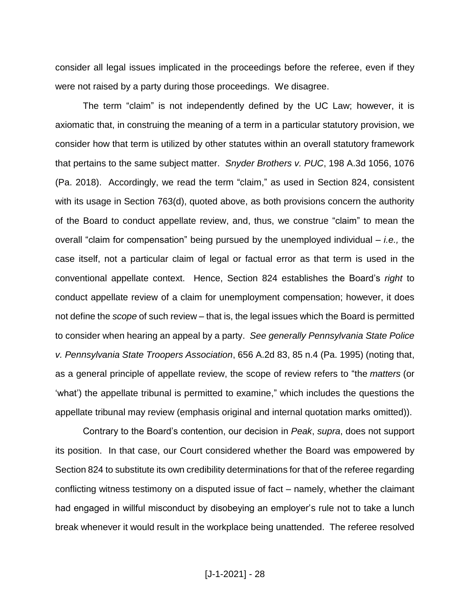consider all legal issues implicated in the proceedings before the referee, even if they were not raised by a party during those proceedings. We disagree.

The term "claim" is not independently defined by the UC Law; however, it is axiomatic that, in construing the meaning of a term in a particular statutory provision, we consider how that term is utilized by other statutes within an overall statutory framework that pertains to the same subject matter. *Snyder Brothers v. PUC*, 198 A.3d 1056, 1076 (Pa. 2018). Accordingly, we read the term "claim," as used in Section 824, consistent with its usage in Section 763(d), quoted above, as both provisions concern the authority of the Board to conduct appellate review, and, thus, we construe "claim" to mean the overall "claim for compensation" being pursued by the unemployed individual – *i.e.,* the case itself, not a particular claim of legal or factual error as that term is used in the conventional appellate context. Hence, Section 824 establishes the Board's *right* to conduct appellate review of a claim for unemployment compensation; however, it does not define the *scope* of such review – that is, the legal issues which the Board is permitted to consider when hearing an appeal by a party. *See generally Pennsylvania State Police v. Pennsylvania State Troopers Association*, 656 A.2d 83, 85 n.4 (Pa. 1995) (noting that, as a general principle of appellate review, the scope of review refers to "the *matters* (or 'what') the appellate tribunal is permitted to examine," which includes the questions the appellate tribunal may review (emphasis original and internal quotation marks omitted)).

Contrary to the Board's contention, our decision in *Peak*, *supra*, does not support its position. In that case, our Court considered whether the Board was empowered by Section 824 to substitute its own credibility determinations for that of the referee regarding conflicting witness testimony on a disputed issue of fact – namely, whether the claimant had engaged in willful misconduct by disobeying an employer's rule not to take a lunch break whenever it would result in the workplace being unattended. The referee resolved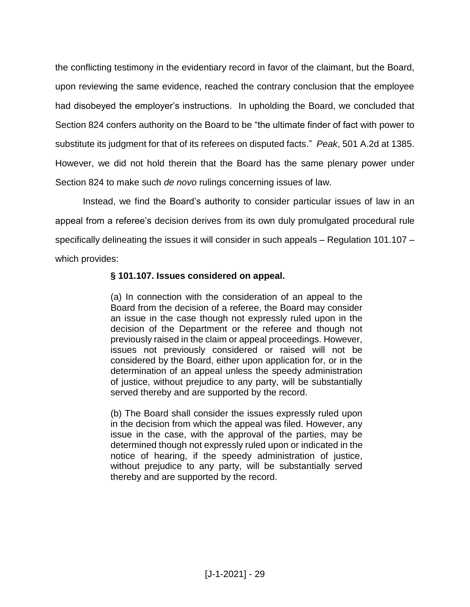the conflicting testimony in the evidentiary record in favor of the claimant, but the Board, upon reviewing the same evidence, reached the contrary conclusion that the employee had disobeyed the employer's instructions. In upholding the Board, we concluded that Section 824 confers authority on the Board to be "the ultimate finder of fact with power to substitute its judgment for that of its referees on disputed facts." *Peak*, 501 A.2d at 1385. However, we did not hold therein that the Board has the same plenary power under Section 824 to make such *de novo* rulings concerning issues of law.

Instead, we find the Board's authority to consider particular issues of law in an appeal from a referee's decision derives from its own duly promulgated procedural rule specifically delineating the issues it will consider in such appeals – Regulation 101.107 – which provides:

## **§ 101.107. Issues considered on appeal.**

(a) In connection with the consideration of an appeal to the Board from the decision of a referee, the Board may consider an issue in the case though not expressly ruled upon in the decision of the Department or the referee and though not previously raised in the claim or appeal proceedings. However, issues not previously considered or raised will not be considered by the Board, either upon application for, or in the determination of an appeal unless the speedy administration of justice, without prejudice to any party, will be substantially served thereby and are supported by the record.

(b) The Board shall consider the issues expressly ruled upon in the decision from which the appeal was filed. However, any issue in the case, with the approval of the parties, may be determined though not expressly ruled upon or indicated in the notice of hearing, if the speedy administration of justice, without prejudice to any party, will be substantially served thereby and are supported by the record.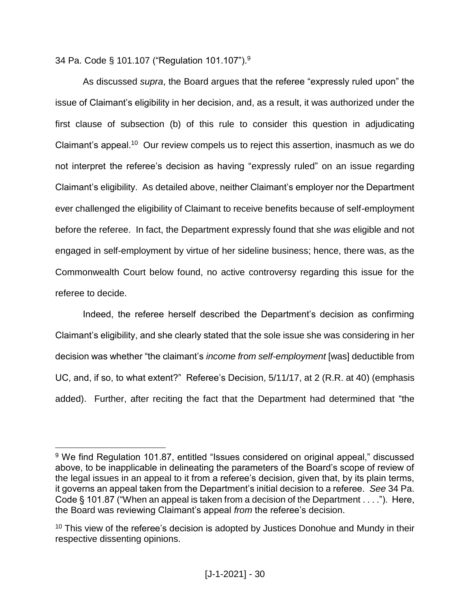34 Pa. Code § 101.107 ("Regulation 101.107").<sup>9</sup>

 $\overline{a}$ 

As discussed *supra*, the Board argues that the referee "expressly ruled upon" the issue of Claimant's eligibility in her decision, and, as a result, it was authorized under the first clause of subsection (b) of this rule to consider this question in adjudicating Claimant's appeal.<sup>10</sup> Our review compels us to reject this assertion, inasmuch as we do not interpret the referee's decision as having "expressly ruled" on an issue regarding Claimant's eligibility. As detailed above, neither Claimant's employer nor the Department ever challenged the eligibility of Claimant to receive benefits because of self-employment before the referee. In fact, the Department expressly found that she *was* eligible and not engaged in self-employment by virtue of her sideline business; hence, there was, as the Commonwealth Court below found, no active controversy regarding this issue for the referee to decide.

Indeed, the referee herself described the Department's decision as confirming Claimant's eligibility, and she clearly stated that the sole issue she was considering in her decision was whether "the claimant's *income from self-employment* [was] deductible from UC, and, if so, to what extent?" Referee's Decision, 5/11/17, at 2 (R.R. at 40) (emphasis added). Further, after reciting the fact that the Department had determined that "the

<sup>&</sup>lt;sup>9</sup> We find Regulation 101.87, entitled "Issues considered on original appeal," discussed above, to be inapplicable in delineating the parameters of the Board's scope of review of the legal issues in an appeal to it from a referee's decision, given that, by its plain terms, it governs an appeal taken from the Department's initial decision to a referee. *See* 34 Pa. Code § 101.87 ("When an appeal is taken from a decision of the Department . . . ."). Here, the Board was reviewing Claimant's appeal *from* the referee's decision.

 $10$  This view of the referee's decision is adopted by Justices Donohue and Mundy in their respective dissenting opinions.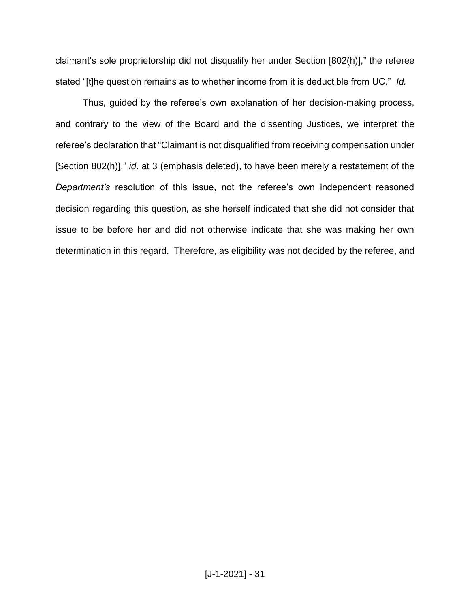claimant's sole proprietorship did not disqualify her under Section [802(h)]," the referee stated "[t]he question remains as to whether income from it is deductible from UC." *Id.*

Thus, guided by the referee's own explanation of her decision-making process, and contrary to the view of the Board and the dissenting Justices, we interpret the referee's declaration that "Claimant is not disqualified from receiving compensation under [Section 802(h)]," *id*. at 3 (emphasis deleted), to have been merely a restatement of the *Department's* resolution of this issue, not the referee's own independent reasoned decision regarding this question, as she herself indicated that she did not consider that issue to be before her and did not otherwise indicate that she was making her own determination in this regard. Therefore, as eligibility was not decided by the referee, and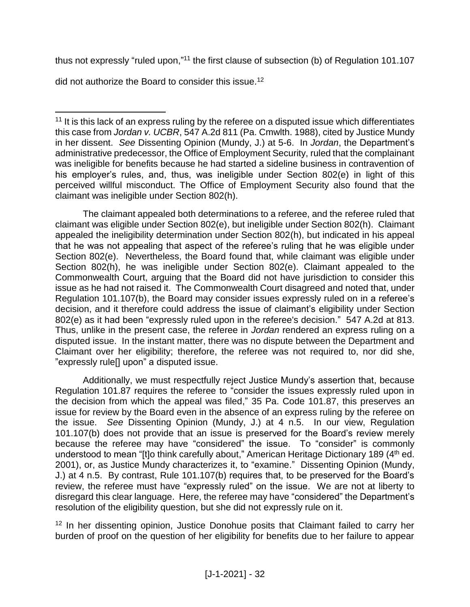thus not expressly "ruled upon,"<sup>11</sup> the first clause of subsection (b) of Regulation 101.107

did not authorize the Board to consider this issue.<sup>12</sup>

The claimant appealed both determinations to a referee, and the referee ruled that claimant was eligible under Section 802(e), but ineligible under Section 802(h). Claimant appealed the ineligibility determination under Section 802(h), but indicated in his appeal that he was not appealing that aspect of the referee's ruling that he was eligible under Section 802(e). Nevertheless, the Board found that, while claimant was eligible under Section 802(h), he was ineligible under Section 802(e). Claimant appealed to the Commonwealth Court, arguing that the Board did not have jurisdiction to consider this issue as he had not raised it. The Commonwealth Court disagreed and noted that, under Regulation 101.107(b), the Board may consider issues expressly ruled on in a referee's decision, and it therefore could address the issue of claimant's eligibility under Section 802(e) as it had been "expressly ruled upon in the referee's decision." 547 A.2d at 813. Thus, unlike in the present case, the referee in *Jordan* rendered an express ruling on a disputed issue. In the instant matter, there was no dispute between the Department and Claimant over her eligibility; therefore, the referee was not required to, nor did she, "expressly rule[] upon" a disputed issue.

Additionally, we must respectfully reject Justice Mundy's assertion that, because Regulation 101.87 requires the referee to "consider the issues expressly ruled upon in the decision from which the appeal was filed," 35 Pa. Code 101.87, this preserves an issue for review by the Board even in the absence of an express ruling by the referee on the issue. *See* Dissenting Opinion (Mundy, J.) at 4 n.5. In our view, Regulation 101.107(b) does not provide that an issue is preserved for the Board's review merely because the referee may have "considered" the issue. To "consider" is commonly understood to mean "[t]o think carefully about," American Heritage Dictionary 189 (4<sup>th</sup> ed. 2001), or, as Justice Mundy characterizes it, to "examine." Dissenting Opinion (Mundy, J.) at 4 n.5. By contrast, Rule 101.107(b) requires that, to be preserved for the Board's review, the referee must have "expressly ruled" on the issue. We are not at liberty to disregard this clear language. Here, the referee may have "considered" the Department's resolution of the eligibility question, but she did not expressly rule on it.

<sup>12</sup> In her dissenting opinion, Justice Donohue posits that Claimant failed to carry her burden of proof on the question of her eligibility for benefits due to her failure to appear

 $\overline{a}$ <sup>11</sup> It is this lack of an express ruling by the referee on a disputed issue which differentiates this case from *Jordan v. UCBR*, 547 A.2d 811 (Pa. Cmwlth. 1988), cited by Justice Mundy in her dissent. *See* Dissenting Opinion (Mundy, J.) at 5-6. In *Jordan*, the Department's administrative predecessor, the Office of Employment Security, ruled that the complainant was ineligible for benefits because he had started a sideline business in contravention of his employer's rules, and, thus, was ineligible under Section 802(e) in light of this perceived willful misconduct. The Office of Employment Security also found that the claimant was ineligible under Section 802(h).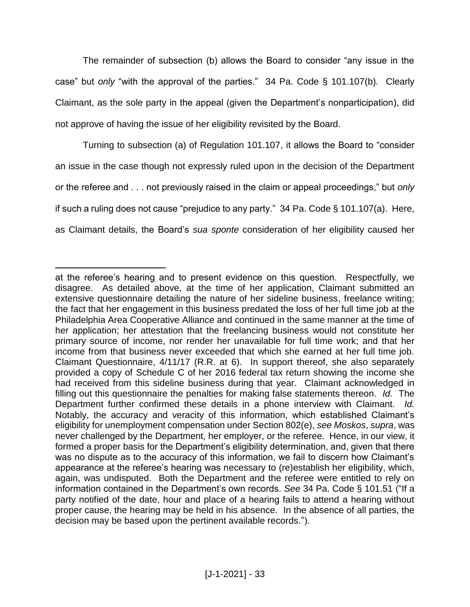The remainder of subsection (b) allows the Board to consider "any issue in the case" but *only* "with the approval of the parties." 34 Pa. Code § 101.107(b)*.* Clearly Claimant, as the sole party in the appeal (given the Department's nonparticipation), did not approve of having the issue of her eligibility revisited by the Board.

Turning to subsection (a) of Regulation 101.107, it allows the Board to "consider an issue in the case though not expressly ruled upon in the decision of the Department or the referee and . . . not previously raised in the claim or appeal proceedings," but *only* if such a ruling does not cause "prejudice to any party." 34 Pa. Code § 101.107(a). Here, as Claimant details, the Board's *sua sponte* consideration of her eligibility caused her

 $\overline{a}$ 

at the referee's hearing and to present evidence on this question. Respectfully, we disagree. As detailed above, at the time of her application, Claimant submitted an extensive questionnaire detailing the nature of her sideline business, freelance writing; the fact that her engagement in this business predated the loss of her full time job at the Philadelphia Area Cooperative Alliance and continued in the same manner at the time of her application; her attestation that the freelancing business would not constitute her primary source of income, nor render her unavailable for full time work; and that her income from that business never exceeded that which she earned at her full time job. Claimant Questionnaire, 4/11/17 (R.R. at 6). In support thereof, she also separately provided a copy of Schedule C of her 2016 federal tax return showing the income she had received from this sideline business during that year. Claimant acknowledged in filling out this questionnaire the penalties for making false statements thereon. *Id.* The Department further confirmed these details in a phone interview with Claimant. *Id.* Notably, the accuracy and veracity of this information, which established Claimant's eligibility for unemployment compensation under Section 802(e), *see Moskos*, *supra*, was never challenged by the Department, her employer, or the referee. Hence, in our view, it formed a proper basis for the Department's eligibility determination, and, given that there was no dispute as to the accuracy of this information, we fail to discern how Claimant's appearance at the referee's hearing was necessary to (re)establish her eligibility, which, again, was undisputed. Both the Department and the referee were entitled to rely on information contained in the Department's own records. *See* 34 Pa. Code § 101.51 ("If a party notified of the date, hour and place of a hearing fails to attend a hearing without proper cause, the hearing may be held in his absence. In the absence of all parties, the decision may be based upon the pertinent available records.").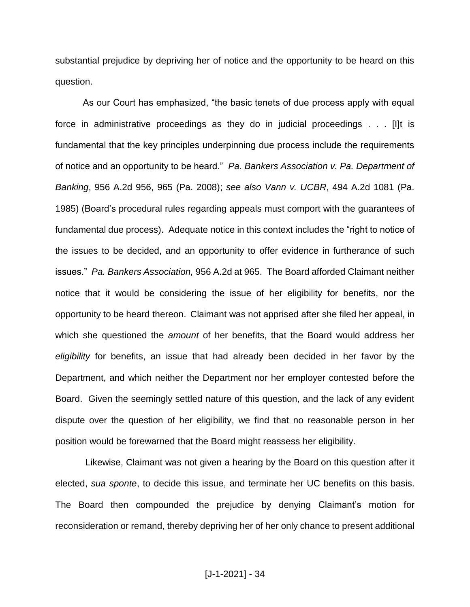substantial prejudice by depriving her of notice and the opportunity to be heard on this question.

As our Court has emphasized, "the basic tenets of due process apply with equal force in administrative proceedings as they do in judicial proceedings . . . [I]t is fundamental that the key principles underpinning due process include the requirements of notice and an opportunity to be heard." *Pa. Bankers Association v. Pa. Department of Banking*, 956 A.2d 956, 965 (Pa. 2008); *see also Vann v. UCBR*, 494 A.2d 1081 (Pa. 1985) (Board's procedural rules regarding appeals must comport with the guarantees of fundamental due process). Adequate notice in this context includes the "right to notice of the issues to be decided, and an opportunity to offer evidence in furtherance of such issues." *Pa. Bankers Association,* 956 A.2d at 965. The Board afforded Claimant neither notice that it would be considering the issue of her eligibility for benefits, nor the opportunity to be heard thereon. Claimant was not apprised after she filed her appeal, in which she questioned the *amount* of her benefits, that the Board would address her *eligibility* for benefits, an issue that had already been decided in her favor by the Department, and which neither the Department nor her employer contested before the Board. Given the seemingly settled nature of this question, and the lack of any evident dispute over the question of her eligibility, we find that no reasonable person in her position would be forewarned that the Board might reassess her eligibility.

Likewise, Claimant was not given a hearing by the Board on this question after it elected, *sua sponte*, to decide this issue, and terminate her UC benefits on this basis. The Board then compounded the prejudice by denying Claimant's motion for reconsideration or remand, thereby depriving her of her only chance to present additional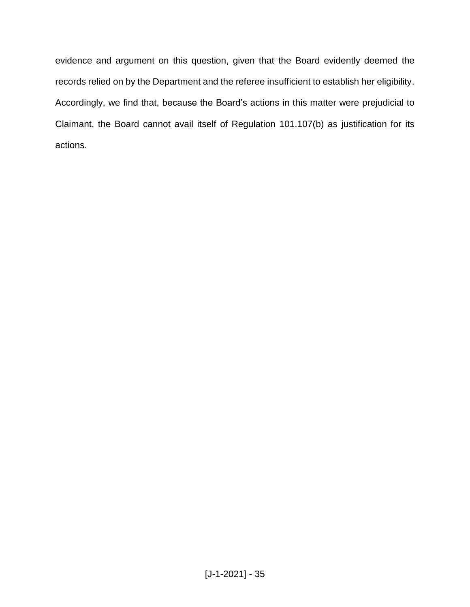evidence and argument on this question, given that the Board evidently deemed the records relied on by the Department and the referee insufficient to establish her eligibility. Accordingly, we find that, because the Board's actions in this matter were prejudicial to Claimant, the Board cannot avail itself of Regulation 101.107(b) as justification for its actions.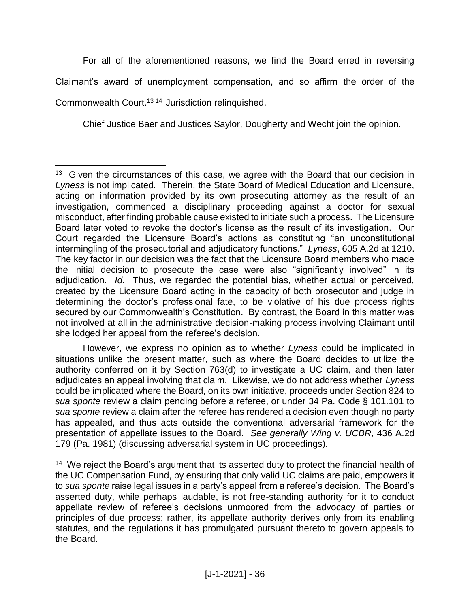For all of the aforementioned reasons, we find the Board erred in reversing

Claimant's award of unemployment compensation, and so affirm the order of the

Commonwealth Court.<sup>1314</sup> Jurisdiction relinquished.

Chief Justice Baer and Justices Saylor, Dougherty and Wecht join the opinion.

However, we express no opinion as to whether *Lyness* could be implicated in situations unlike the present matter, such as where the Board decides to utilize the authority conferred on it by Section 763(d) to investigate a UC claim, and then later adjudicates an appeal involving that claim. Likewise, we do not address whether *Lyness* could be implicated where the Board, on its own initiative, proceeds under Section 824 to *sua sponte* review a claim pending before a referee, or under 34 Pa. Code § 101.101 to *sua sponte* review a claim after the referee has rendered a decision even though no party has appealed, and thus acts outside the conventional adversarial framework for the presentation of appellate issues to the Board. *See generally Wing v. UCBR*, 436 A.2d 179 (Pa. 1981) (discussing adversarial system in UC proceedings).

<sup>14</sup> We reject the Board's argument that its asserted duty to protect the financial health of the UC Compensation Fund, by ensuring that only valid UC claims are paid, empowers it to *sua sponte* raise legal issues in a party's appeal from a referee's decision. The Board's asserted duty, while perhaps laudable, is not free-standing authority for it to conduct appellate review of referee's decisions unmoored from the advocacy of parties or principles of due process; rather, its appellate authority derives only from its enabling statutes, and the regulations it has promulgated pursuant thereto to govern appeals to the Board.

 $\overline{a}$ <sup>13</sup> Given the circumstances of this case, we agree with the Board that our decision in *Lyness* is not implicated. Therein, the State Board of Medical Education and Licensure, acting on information provided by its own prosecuting attorney as the result of an investigation, commenced a disciplinary proceeding against a doctor for sexual misconduct, after finding probable cause existed to initiate such a process. The Licensure Board later voted to revoke the doctor's license as the result of its investigation. Our Court regarded the Licensure Board's actions as constituting "an unconstitutional intermingling of the prosecutorial and adjudicatory functions." *Lyness*, 605 A.2d at 1210. The key factor in our decision was the fact that the Licensure Board members who made the initial decision to prosecute the case were also "significantly involved" in its adjudication. *Id.* Thus, we regarded the potential bias, whether actual or perceived, created by the Licensure Board acting in the capacity of both prosecutor and judge in determining the doctor's professional fate, to be violative of his due process rights secured by our Commonwealth's Constitution. By contrast, the Board in this matter was not involved at all in the administrative decision-making process involving Claimant until she lodged her appeal from the referee's decision.